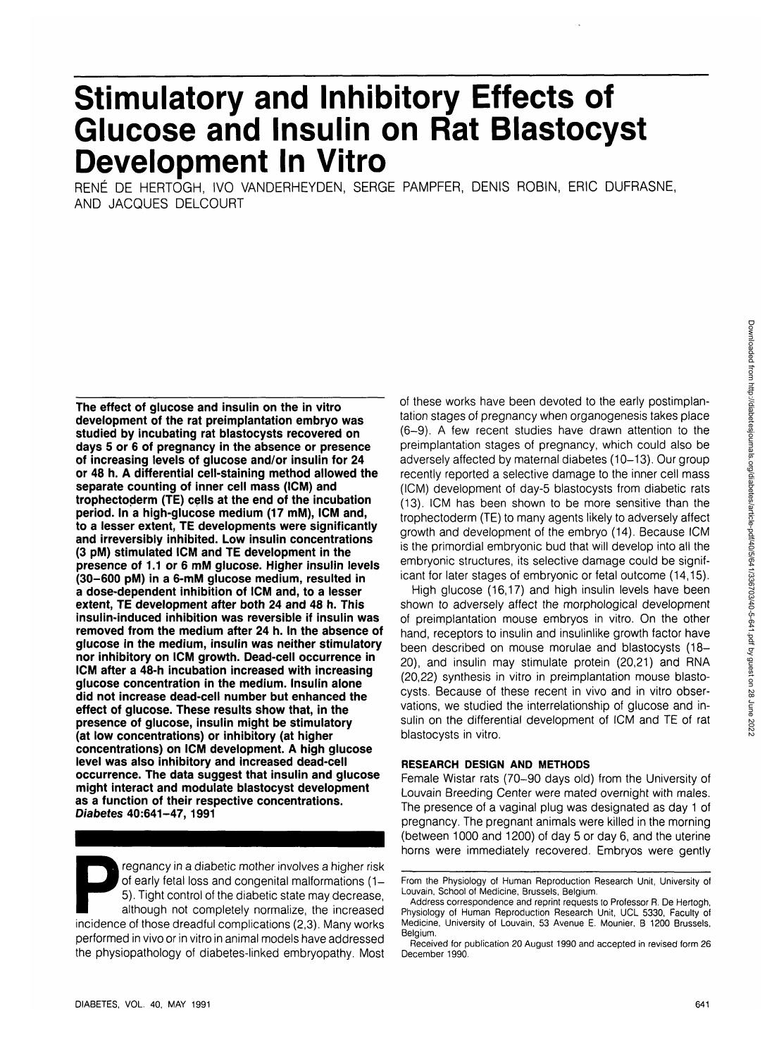# **Stimulatory and Inhibitory Effects of Glucose and Insulin on Rat Blastocyst Development In Vitro**

RENE DE HERTOGH, IVO VANDERHEYDEN, SERGE PAMPFER, DENIS ROBIN, ERIC DUFRASNE, AND JACQUES DELCOURT

**The effect of glucose and insulin on the in vitro development of the rat preimplantation embryo was studied by incubating rat blastocysts recovered on days 5 or 6 of pregnancy in the absence or presence of increasing levels of glucose and/or insulin for 24 or 48 h. A differential cell-staining method allowed the separate counting of inner cell mass (ICM) and trophectoderm (TE) cells at the end of the incubation period. In a high-glucose medium (17 mM), ICM and, to a lesser extent, TE developments were significantly and irreversibly inhibited. Low insulin concentrations (3 pM) stimulated ICM and TE development in the presence of 1.1 or 6 mM glucose. Higher insulin levels (30-600 pM) in a 6-mM glucose medium, resulted in a dose-dependent inhibition of ICM and, to a lesser extent, TE development after both 24 and 48 h. This insulin-induced inhibition was reversible if insulin was removed from the medium after 24 h. In the absence of glucose in the medium, insulin was neither stimulatory nor inhibitory on ICM growth. Dead-cell occurrence in ICM after a 48-h incubation increased with increasing glucose concentration in the medium. Insulin alone did not increase dead-cell number but enhanced the effect of glucose. These results show that, in the presence of glucose, insulin might be stimulatory (at low concentrations) or inhibitory (at higher concentrations) on ICM development. A high glucose level was also inhibitory and increased dead-cell occurrence. The data suggest that insulin and glucose might interact and modulate blastocyst development as a function of their respective concentrations. Diabetes 40:641-47, 1991**

Fregnancy in a diabetic mother involves a higher risk<br>of early fetal loss and congenital malformations (1–<br>5). Tight control of the diabetic state may decrease,<br>although not completely normalize, the increased<br>incidence of of early fetal loss and congenital malformations (1 - 5). Tight control of the diabetic state may decrease, although not completely normalize, the increased performed in vivo or in vitro in animal models have addressed the physiopathology of diabetes-linked embryopathy. Most of these works have been devoted to the early postimplantation stages of pregnancy when organogenesis takes place (6-9). A few recent studies have drawn attention to the preimplantation stages of pregnancy, which could also be adversely affected by maternal diabetes (10-13). Our group recently reported a selective damage to the inner cell mass (ICM) development of day-5 blastocysts from diabetic rats (13). ICM has been shown to be more sensitive than the trophectoderm (TE) to many agents likely to adversely affect growth and development of the embryo (14). Because ICM is the primordial embryonic bud that will develop into all the embryonic structures, its selective damage could be significant for later stages of embryonic or fetal outcome (14,15).

High glucose (16,17) and high insulin levels have been shown to adversely affect the morphological development of preimplantation mouse embryos in vitro. On the other hand, receptors to insulin and insulinlike growth factor have been described on mouse morulae and blastocysts (18- 20), and insulin may stimulate protein (20,21) and RNA (20,22) synthesis in vitro in preimplantation mouse blastocysts. Because of these recent in vivo and in vitro observations, we studied the interrelationship of glucose and insulin on the differential development of ICM and TE of rat blastocysts in vitro.

#### **RESEARCH DESIGN AND METHODS**

Female Wistar rats (70-90 days old) from the University of Louvain Breeding Center were mated overnight with males. The presence of a vaginal plug was designated as day 1 of pregnancy. The pregnant animals were killed in the morning (between 1000 and 1200) of day 5 or day 6, and the uterine horns were immediately recovered. Embryos were gently

From the Physiology of Human Reproduction Research Unit, University of Louvain, School of Medicine, Brussels, Belgium.

Address correspondence and reprint requests to Professor R. De Hertogh, Physiology of Human Reproduction Research Unit, UCL 5330, Faculty of Medicine, University of Louvain, 53 Avenue E. Mounier, B 1200 Brussels, Belgium.

Received for publication 20 August 1990 and accepted in revised form 26 December 1990.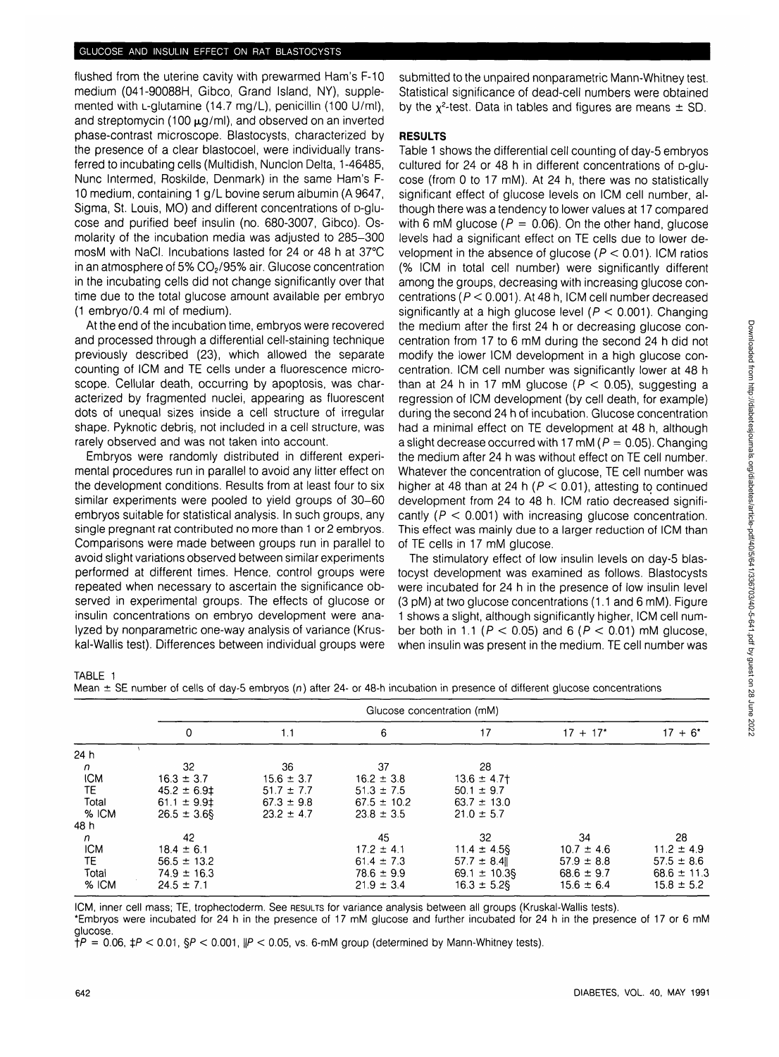flushed from the uterine cavity with prewarmed Ham's F-10 medium (041-90088H, Gibco, Grand Island, NY), supplemented with L-glutamine (14.7 mg/L), penicillin (100 U/ml). and streptomycin (100  $\mu$ g/ml), and observed on an inverted phase-contrast microscope. Blastocysts, characterized by the presence of a clear blastocoel, were individually transferred to incubating cells (Multidish, Nunclon Delta, 1-46485, Nunc Intermed, Roskilde, Denmark) in the same Ham's F-10 medium, containing 1 g/L bovine serum albumin (A 9647, Sigma, St. Louis, MO) and different concentrations of p-glucose and purified beef insulin (no. 680-3007, Gibco). Osmolarity of the incubation media was adjusted to 285-300 mosM with NaCI. Incubations lasted for 24 or 48 h at 37°C in an atmosphere of 5% CO<sub>2</sub>/95% air. Glucose concentration in the incubating cells did not change significantly over that time due to the total glucose amount available per embryo (1 embryo/0.4 ml of medium).

At the end of the incubation time, embryos were recovered and processed through a differential cell-staining technique previously described (23), which allowed the separate counting of ICM and TE cells under a fluorescence microscope. Cellular death, occurring by apoptosis, was characterized by fragmented nuclei, appearing as fluorescent dots of unequal sizes inside a cell structure of irregular shape. Pyknotic debris, not included in a cell structure, was rarely observed and was not taken into account.

Embryos were randomly distributed in different experimental procedures run in parallel to avoid any litter effect on the development conditions. Results from at least four to six similar experiments were pooled to yield groups of 30-60 embryos suitable for statistical analysis. In such groups, any single pregnant rat contributed no more than 1 or 2 embryos. Comparisons were made between groups run in parallel to avoid slight variations observed between similar experiments performed at different times. Hence, control groups were repeated when necessary to ascertain the significance observed in experimental groups. The effects of glucose or insulin concentrations on embryo development were analyzed by nonparametric one-way analysis of variance (Kruskal-Wallis test). Differences between individual groups were submitted to the unpaired nonparametric Mann-Whitney test. Statistical significance of dead-cell numbers were obtained by the  $\chi^2$ -test. Data in tables and figures are means  $\pm$  SD.

## **RESULTS**

Table 1 shows the differential cell counting of day-5 embryos cultured for 24 or 48 h in different concentrations of D-glucose (from 0 to 17 mM). At 24 h, there was no statistically significant effect of glucose levels on ICM cell number, although there was a tendency to lower values at 17 compared with 6 mM glucose ( $P = 0.06$ ). On the other hand, glucose levels had a significant effect on TE cells due to lower development in the absence of glucose ( $P < 0.01$ ). ICM ratios (% ICM in total cell number) were significantly different among the groups, decreasing with increasing glucose concentrations (P < 0.001). At 48 h, ICM cell number decreased significantly at a high glucose level ( $P < 0.001$ ). Changing the medium after the first 24 h or decreasing glucose concentration from 17 to 6 mM during the second 24 h did not modify the lower ICM development in a high glucose concentration. ICM cell number was significantly lower at 48 h than at 24 h in 17 mM glucose ( $P < 0.05$ ), suggesting a regression of ICM development (by cell death, for example) during the second 24 h of incubation. Glucose concentration had a minimal effect on TE development at 48 h, although a slight decrease occurred with 17 mM ( $P = 0.05$ ). Changing the medium after 24 h was without effect on TE cell number. Whatever the concentration of glucose, TE cell number was higher at 48 than at 24 h ( $P < 0.01$ ), attesting to continued development from 24 to 48 h. ICM ratio decreased significantly ( $P < 0.001$ ) with increasing glucose concentration. This effect was mainly due to a larger reduction of ICM than of TE cells in 17 mM glucose.

The stimulatory effect of low insulin levels on day-5 blastocyst development was examined as follows. Blastocysts were incubated for 24 h in the presence of low insulin level (3 pM) at two glucose concentrations (1.1 and 6 mM). Figure 1 shows a slight, although significantly higher, ICM cell number both in 1.1 ( $P < 0.05$ ) and 6 ( $P < 0.01$ ) mM glucose, when insulin was present in the medium. TE cell number was

TABLE 1

Mean  $\pm$  SE number of cells of day-5 embryos (n) after 24- or 48-h incubation in presence of different glucose concentrations

|              | Glucose concentration (mM) |                |                 |                  |                |                 |
|--------------|----------------------------|----------------|-----------------|------------------|----------------|-----------------|
|              | 0                          | 1.1            | 6               | 17               | $17 + 17$ *    | $17 + 6^*$      |
| 24 h         |                            |                |                 |                  |                |                 |
| $\mathsf{n}$ | 32                         | 36             | 37              | 28               |                |                 |
| <b>ICM</b>   | $16.3 \pm 3.7$             | $15.6 \pm 3.7$ | $16.2 \pm 3.8$  | $13.6 \pm 4.7$   |                |                 |
| <b>TE</b>    | $45.2 \pm 6.9$             | $51.7 \pm 7.7$ | $51.3 \pm 7.5$  | $50.1 \pm 9.7$   |                |                 |
| Total        | $61.1 \pm 9.91$            | $67.3 \pm 9.8$ | $67.5 \pm 10.2$ | $63.7 \pm 13.0$  |                |                 |
| % ICM        | $26.5 \pm 3.6$ \$          | $23.2 \pm 4.7$ | $23.8 \pm 3.5$  | $21.0 \pm 5.7$   |                |                 |
| 48 h         |                            |                |                 |                  |                |                 |
| n.           | 42                         |                | 45              | 32               | 34             | 28              |
| <b>ICM</b>   | $18.4 \pm 6.1$             |                | $17.2 \pm 4.1$  | $11.4 \pm 4.5$ § | $10.7 \pm 4.6$ | $11.2 \pm 4.9$  |
| TE           | $56.5 \pm 13.2$            |                | $61.4 \pm 7.3$  | $57.7 \pm 8.4$   | $57.9 \pm 8.8$ | $57.5 \pm 8.6$  |
| Total        | $74.9 \pm 16.3$            |                | $78.6 \pm 9.9$  | $69.1 \pm 10.38$ | $68.6 \pm 9.7$ | $68.6 \pm 11.3$ |
| % ICM        | $24.5 \pm 7.1$             |                | $21.9 \pm 3.4$  | $16.3 \pm 5.2$ § | $15.6 \pm 6.4$ | $15.8 \pm 5.2$  |

ICM, inner cell mass; TE, trophectoderm. See RESULTS for variance analysis between all groups (Kruskal-Wallis tests).

\*Embryos were incubated for 24 h in the presence of 17 mM glucose and further incubated for 24 h in the presence of 17 or 6 mM glucose.

 $\overline{f}P = 0.06$ ,  $\overline{f}P < 0.01$ ,  $\overline{S}P < 0.001$ ,  $\overline{p}P < 0.05$ , vs. 6-mM group (determined by Mann-Whitney tests).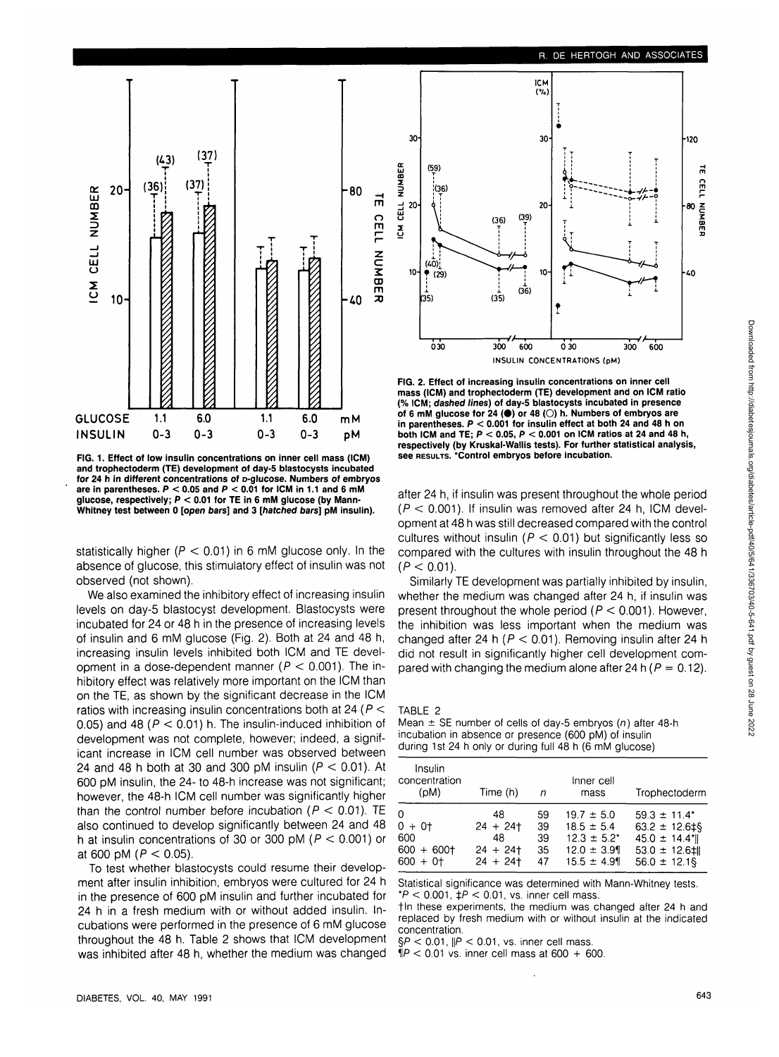

**FIG. 1. Effect of low insulin concentrations on inner cell mass (ICM) and trophectoderm (TE) development of day-5 blastocysts incubated for 24 h in different concentrations of D-glucose. Numbers of embryos** are in parentheses.  $P < 0.05$  and  $P < 0.01$  for ICM in 1.1 and 6 mM **glucose, respectively; P < 0.01 for TE in 6 mM glucose (by Mann-Whitney test between 0 [open bars] and 3 [hatched bars] pM insulin).**

statistically higher ( $P < 0.01$ ) in 6 mM glucose only. In the absence of glucose, this stimulatory effect of insulin was not observed (not shown).

We also examined the inhibitory effect of increasing insulin levels on day-5 blastocyst development. Blastocysts were incubated for 24 or 48 h in the presence of increasing levels of insulin and 6 mM glucose (Fig. 2). Both at 24 and 48 h, increasing insulin levels inhibited both ICM and TE development in a dose-dependent manner ( $P < 0.001$ ). The inhibitory effect was relatively more important on the ICM than on the TE, as shown by the significant decrease in the ICM ratios with increasing insulin concentrations both at 24 ( $P <$ 0.05) and 48 ( $P < 0.01$ ) h. The insulin-induced inhibition of development was not complete, however; indeed, a significant increase in ICM cell number was observed between 24 and 48 h both at 30 and 300 pM insulin ( $P < 0.01$ ). At 600 pM insulin, the 24- to 48-h increase was not significant; however, the 48-h ICM cell number was significantly higher than the control number before incubation ( $P < 0.01$ ). TE also continued to develop significantly between 24 and 48 h at insulin concentrations of 30 or 300 pM ( $P < 0.001$ ) or at 600 pM ( $P < 0.05$ ).

To test whether blastocysts could resume their development after insulin inhibition, embryos were cultured for 24 h in the presence of 600 pM insulin and further incubated for 24 h in a fresh medium with or without added insulin. Incubations were performed in the presence of 6 mM glucose throughout the 48 h. Table 2 shows that ICM development was inhibited after 48 h, whether the medium was changed



**FIG. 2. Effect of increasing insulin concentrations on inner cell mass (ICM) and trophectoderm (TE) development and on ICM ratio (% ICM; dashed lines) of day-5 blastocysts incubated in presence** of 6 mM glucose for 24 ( $\bullet$ ) or 48 ( $\circ$ ) h. Numbers of embryos are **in parentheses. P < 0.001 for insulin effect at both 24 and 48 h on both ICM and TE; P < 0.05, P < 0.001 on ICM ratios at 24 and 48 h, respectively (by Kruskal-Wallis tests). For further statistical analysis, see RESULTS. 'Control embryos before incubation.**

after 24 h, if insulin was present throughout the whole period  $(P < 0.001)$ . If insulin was removed after 24 h, ICM development at 48 h was still decreased compared with the control cultures without insulin ( $P < 0.01$ ) but significantly less so compared with the cultures with insulin throughout the 48 h  $(P < 0.01)$ .

Similarly TE development was partially inhibited by insulin, whether the medium was changed after 24 h, if insulin was present throughout the whole period ( $P < 0.001$ ). However, the inhibition was less important when the medium was changed after 24 h ( $P < 0.01$ ). Removing insulin after 24 h did not result in significantly higher cell development compared with changing the medium alone after 24 h ( $P = 0.12$ ).

TABLE 2

Mean  $\pm$  SE number of cells of day-5 embryos (n) after 48-h incubation in absence or presence (600 pM) of insulin during 1st 24 h only or during full 48 h (6 mM glucose)

| Insulin<br>concentration<br>(M <sub>d</sub> ) | Time (h)  | n  | Inner cell<br>mass | Trophectoderm                |
|-----------------------------------------------|-----------|----|--------------------|------------------------------|
| 0                                             | 48        | 59 | $19.7 \pm 5.0$     | $59.3 \pm 11.4^*$            |
| $0 + 0$                                       | $24 + 24$ | 39 | $18.5 \pm 5.4$     | $63.2 \pm 12.6 \pm 9$        |
| 600                                           | 48        | 39 | $12.3 \pm 5.2^*$   | $45.0 \pm 14.4$ <sup>*</sup> |
| $600 + 600$                                   | $24 + 24$ | 35 | $12.0 \pm 3.9$     | $53.0 \pm 12.6$ : 11         |
| $600 + 0$                                     | $24 + 24$ | 47 | $15.5 \pm 4.9$     | $56.0 \pm 12.1$ §            |

Statistical significance was determined with Mann-Whitney tests.  $*P < 0.001$ ,  $\downarrow P < 0.01$ , vs. inner cell mass.

tin these experiments, the medium was changed after 24 h and replaced by fresh medium with or without insulin at the indicated concentration.

 $\S P < 0.01$ ,  $\| P < 0.01$ , vs. inner cell mass

 $\mathsf{N}P < 0.01$  vs. inner cell mass at 600 + 600.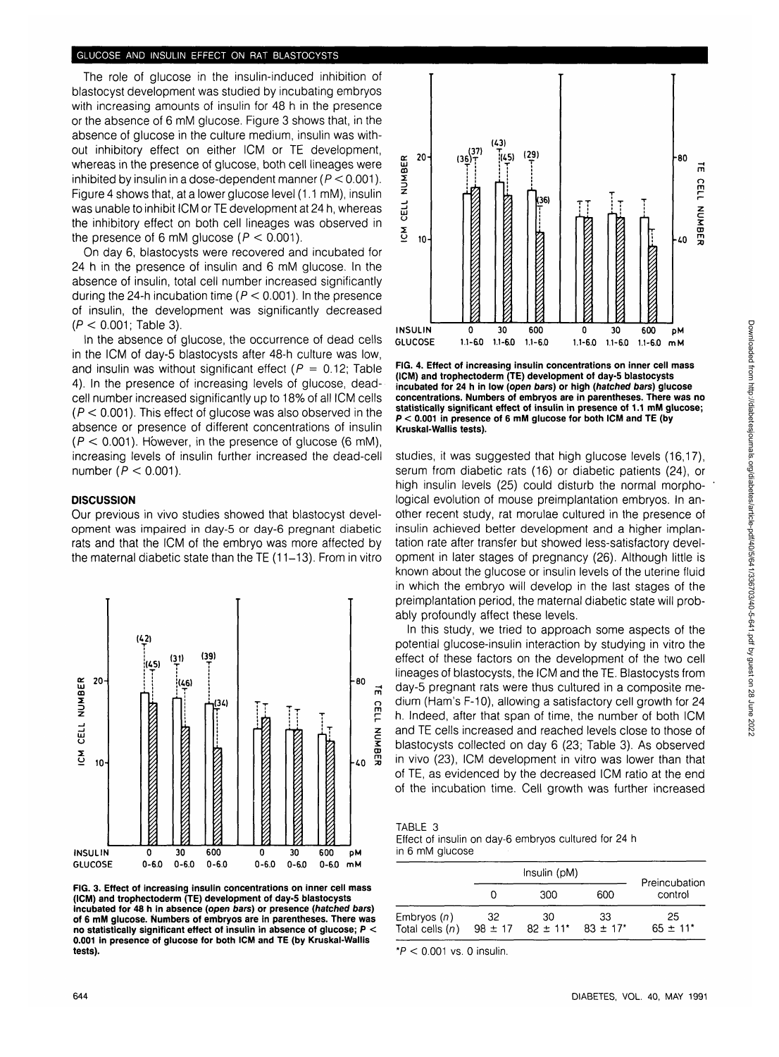# **GLUCOSE AND INSULIN EFFECT ON RAT BLASTOCYSTS**

The role of glucose in the insulin-induced inhibition of blastocyst development was studied by incubating embryos with increasing amounts of insulin for 48 h in the presence or the absence of 6 mM glucose. Figure 3 shows that, in the absence of glucose in the culture medium, insulin was without inhibitory effect on either ICM or TE development, whereas in the presence of glucose, both cell lineages were inhibited by insulin in a dose-dependent manner ( $P < 0.001$ ). Figure 4 shows that, at a lower glucose level (1.1 mM), insulin was unable to inhibit ICM or TE development at 24 h, whereas the inhibitory effect on both cell lineages was observed in the presence of 6 mM glucose ( $P < 0.001$ ).

On day 6, blastocysts were recovered and incubated for 24 h in the presence of insulin and 6 mM glucose. In the absence of insulin, total cell number increased significantly during the 24-h incubation time ( $P < 0.001$ ). In the presence of insulin, the development was significantly decreased  $(P < 0.001$ : Table 3).

In the absence of glucose, the occurrence of dead cells in the ICM of day-5 blastocysts after 48-h culture was low, and insulin was without significant effect ( $P = 0.12$ ; Table 4). In the presence of increasing levels of glucose, deadcell number increased significantly up to 18% of all ICM cells  $(P < 0.001)$ . This effect of glucose was also observed in the absence or presence of different concentrations of insulin  $(P < 0.001)$ . However, in the presence of glucose (6 mM), increasing levels of insulin further increased the dead-cell number ( $P < 0.001$ ).

#### **DISCUSSION**

Our previous in vivo studies showed that blastocyst development was impaired in day-5 or day-6 pregnant diabetic rats and that the ICM of the embryo was more affected by the maternal diabetic state than the TE (11-13). From in vitro



**FIG. 3. Effect of increasing insulin concentrations on inner cell mass (ICM) and trophectoderm (TE) development of day-5 blastocysts incubated for 48 h in absence (open bars) or presence (hatched bars) of 6 mM glucose. Numbers of embryos are in parentheses. There was no statistically significant effect of insulin in absence of glucose; P < 0.001 in presence of glucose for both ICM and TE (by Kruskal-Wallis tests).**



**FIG. 4. Effect of increasing insulin concentrations on inner cell mass (ICM) and trophectoderm (TE) development of day-5 blastocysts incubated for 24 h in low (open bars) or high (hatched bars) glucose concentrations. Numbers of embryos are in parentheses. There was no statistically significant effect of insulin in presence of 1.1 mM glucose; P < 0.001 in presence of 6 mM glucose for both ICM and TE (by Kruskal-Wallis tests).**

studies, it was suggested that high glucose levels (16,17), serum from diabetic rats (16) or diabetic patients (24), or high insulin levels (25) could disturb the normal morphological evolution of mouse preimplantation embryos. In another recent study, rat morulae cultured in the presence of insulin achieved better development and a higher implantation rate after transfer but showed less-satisfactory development in later stages of pregnancy (26). Although little is known about the glucose or insulin levels of the uterine fluid in which the embryo will develop in the last stages of the preimplantation period, the maternal diabetic state will probably profoundly affect these levels.

In this study, we tried to approach some aspects of the potential glucose-insulin interaction by studying in vitro the effect of these factors on the development of the two cell lineages of blastocysts, the ICM and the TE. Blastocysts from day-5 pregnant rats were thus cultured in a composite medium (Ham's F-10), allowing a satisfactory cell growth for 24 h. Indeed, after that span of time, the number of both ICM and TE cells increased and reached levels close to those of blastocysts collected on day 6 (23; Table 3). As observed in vivo (23), ICM development in vitro was lower than that of TE, as evidenced by the decreased ICM ratio at the end of the incubation time. Cell growth was further increased

TABLE 3

Effect of insulin on day-6 embryos cultured for 24 h in 6 mM glucose

|                                    |                   | Insulin (pM)                   |                                |                                |  |
|------------------------------------|-------------------|--------------------------------|--------------------------------|--------------------------------|--|
|                                    |                   | 300                            | 600                            | Preincubation<br>control       |  |
| Embryos $(n)$<br>Total cells $(n)$ | 32<br>$98 \pm 17$ | 30<br>$82 \pm 11$ <sup>*</sup> | 33<br>$83 \pm 17$ <sup>*</sup> | 25<br>$65 \pm 11$ <sup>*</sup> |  |

 $*P < 0.001$  vs. 0 insulin.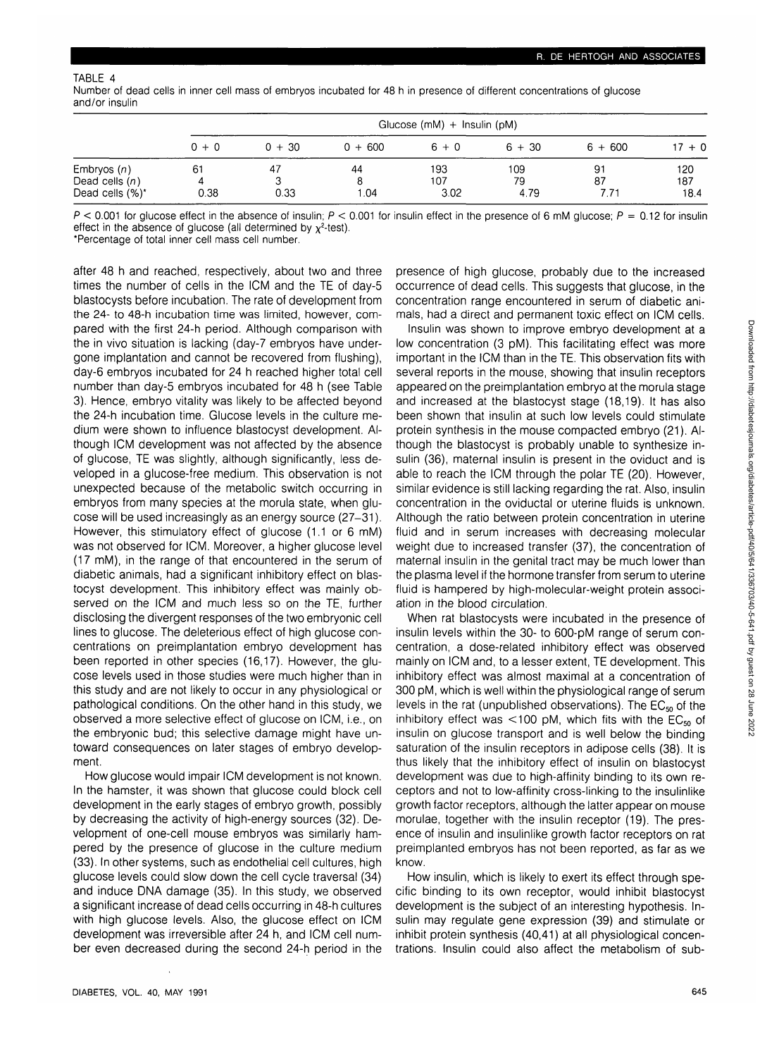| Number of dead cells in inner cell mass of embryos incubated for 48 h in presence of different concentrations of glucose |  |
|--------------------------------------------------------------------------------------------------------------------------|--|
| and/or insulin                                                                                                           |  |

|                  | Glucose (mM) $+$ Insulin (pM) |          |           |         |          |           |          |
|------------------|-------------------------------|----------|-----------|---------|----------|-----------|----------|
|                  | $0 + 0$                       | $0 + 30$ | $0 + 600$ | $6 + 0$ | $6 + 30$ | $6 + 600$ | $17 + 0$ |
| Embryos $(n)$    | 61                            | 47       | 44        | 193     | 109      | 91        | 120      |
| Dead cells $(n)$ |                               |          | 8         | 107     | 79       | 87        | 187      |
| Dead cells (%)*  | 0.38                          | 0.33     | 1.04      | 3.02    | 4.79     | 771       | 18.4     |

 $P < 0.001$  for glucose effect in the absence of insulin;  $P < 0.001$  for insulin effect in the presence of 6 mM glucose;  $P = 0.12$  for insulin effect in the absence of glucose (all determined by  $\chi^2$ -test).

'Percentage of total inner cell mass cell number.

after 48 h and reached, respectively, about two and three times the number of cells in the ICM and the TE of day-5 blastocysts before incubation. The rate of development from the 24- to 48-h incubation time was limited, however, compared with the first 24-h period. Although comparison with the in vivo situation is lacking (day-7 embryos have undergone implantation and cannot be recovered from flushing), day-6 embryos incubated for 24 h reached higher total cell number than day-5 embryos incubated for 48 h (see Table 3). Hence, embryo vitality was likely to be affected beyond the 24-h incubation time. Glucose levels in the culture medium were shown to influence blastocyst development. Although ICM development was not affected by the absence of glucose, TE was slightly, although significantly, less developed in a glucose-free medium. This observation is not unexpected because of the metabolic switch occurring in embryos from many species at the morula state, when glucose will be used increasingly as an energy source (27-31). However, this stimulatory effect of glucose (1.1 or 6 mM) was not observed for ICM. Moreover, a higher glucose level (17 mM), in the range of that encountered in the serum of diabetic animals, had a significant inhibitory effect on blastocyst development. This inhibitory effect was mainly observed on the ICM and much less so on the TE, further disclosing the divergent responses of the two embryonic cell lines to glucose. The deleterious effect of high glucose concentrations on preimplantation embryo development has been reported in other species (16,17). However, the glucose levels used in those studies were much higher than in this study and are not likely to occur in any physiological or pathological conditions. On the other hand in this study, we observed a more selective effect of glucose on ICM, i.e., on the embryonic bud; this selective damage might have untoward consequences on later stages of embryo development.

How glucose would impair ICM development is not known. In the hamster, it was shown that glucose could block cell development in the early stages of embryo growth, possibly by decreasing the activity of high-energy sources (32). Development of one-cell mouse embryos was similarly hampered by the presence of glucose in the culture medium (33). In other systems, such as endothelial cell cultures, high glucose levels could slow down the cell cycle traversal (34) and induce DNA damage (35). In this study, we observed a significant increase of dead cells occurring in 48-h cultures with high glucose levels. Also, the glucose effect on ICM development was irreversible after 24 h, and ICM cell number even decreased during the second 24-h period in the

presence of high glucose, probably due to the increased occurrence of dead cells. This suggests that glucose, in the concentration range encountered in serum of diabetic animals, had a direct and permanent toxic effect on ICM cells.

Insulin was shown to improve embryo development at a low concentration (3 pM). This facilitating effect was more important in the ICM than in the TE. This observation fits with several reports in the mouse, showing that insulin receptors appeared on the preimplantation embryo at the morula stage and increased at the blastocyst stage (18,19). It has also been shown that insulin at such low levels could stimulate protein synthesis in the mouse compacted embryo (21). Although the blastocyst is probably unable to synthesize insulin (36), maternal insulin is present in the oviduct and is able to reach the ICM through the polar TE (20). However, similar evidence is still lacking regarding the rat. Also, insulin concentration in the oviductal or uterine fluids is unknown. Although the ratio between protein concentration in uterine fluid and in serum increases with decreasing molecular weight due to increased transfer (37), the concentration of maternal insulin in the genital tract may be much lower than the plasma level if the hormone transfer from serum to uterine fluid is hampered by high-molecular-weight protein association in the blood circulation.

When rat blastocysts were incubated in the presence of insulin levels within the 30- to 600-pM range of serum concentration, a dose-related inhibitory effect was observed mainly on ICM and, to a lesser extent, TE development. This inhibitory effect was almost maximal at a concentration of 300 pM, which is well within the physiological range of serum levels in the rat (unpublished observations). The  $EC_{50}$  of the inhibitory effect was  $<$ 100 pM, which fits with the  $EC_{50}$  of insulin on glucose transport and is well below the binding saturation of the insulin receptors in adipose cells (38). It is thus likely that the inhibitory effect of insulin on blastocyst development was due to high-affinity binding to its own receptors and not to low-affinity cross-linking to the insulinlike growth factor receptors, although the latter appear on mouse morulae, together with the insulin receptor (19). The presence of insulin and insulinlike growth factor receptors on rat preimplanted embryos has not been reported, as far as we know.

How insulin, which is likely to exert its effect through specific binding to its own receptor, would inhibit blastocyst development is the subject of an interesting hypothesis. Insulin may regulate gene expression (39) and stimulate or inhibit protein synthesis (40,41) at all physiological concentrations. Insulin could also affect the metabolism of sub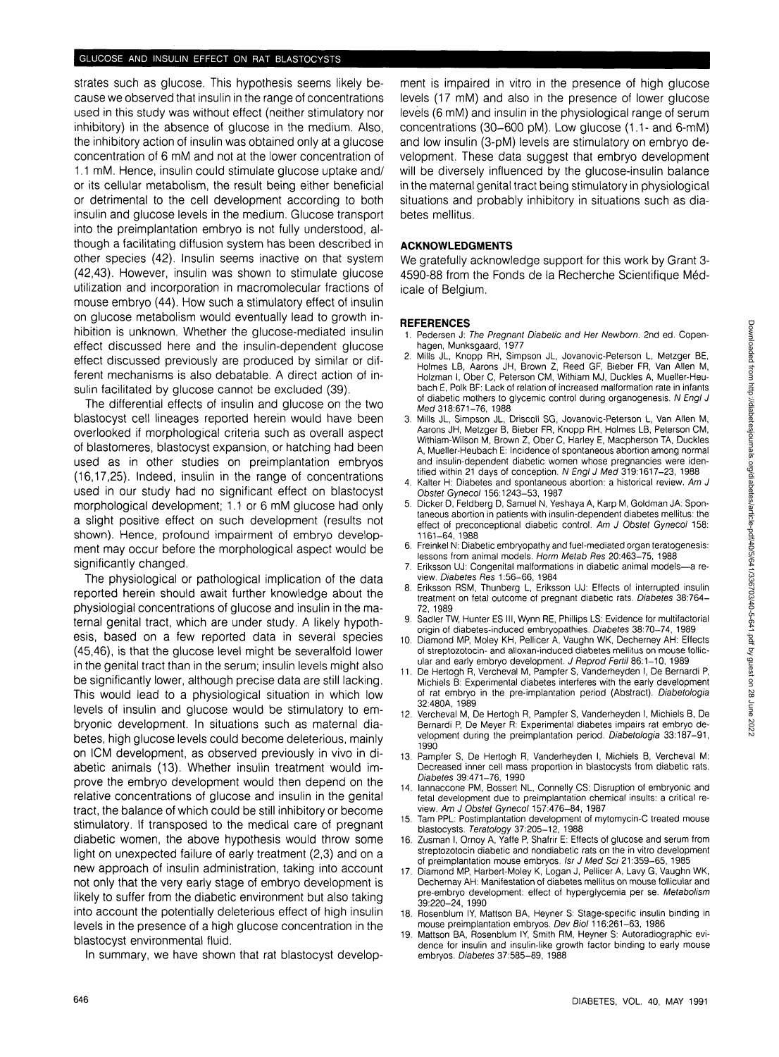strates such as glucose. This hypothesis seems likely because we observed that insulin in the range of concentrations used in this study was without effect (neither stimulatory nor inhibitory) in the absence of glucose in the medium. Also, the inhibitory action of insulin was obtained only at a glucose concentration of 6 mM and not at the lower concentration of 1.1 mM. Hence, insulin could stimulate glucose uptake and/ or its cellular metabolism, the result being either beneficial or detrimental to the cell development according to both insulin and glucose levels in the medium. Glucose transport into the preimplantation embryo is not fully understood, although a facilitating diffusion system has been described in other species (42). Insulin seems inactive on that system (42,43). However, insulin was shown to stimulate glucose utilization and incorporation in macromolecular fractions of mouse embryo (44). How such a stimulatory effect of insulin on glucose metabolism would eventually lead to growth inhibition is unknown. Whether the glucose-mediated insulin effect discussed here and the insulin-dependent glucose effect discussed previously are produced by similar or different mechanisms is also debatable. A direct action of insulin facilitated by glucose cannot be excluded (39).

The differential effects of insulin and glucose on the two blastocyst cell lineages reported herein would have been overlooked if morphological criteria such as overall aspect of blastomeres, blastocyst expansion, or hatching had been used as in other studies on preimplantation embryos (16,17,25). Indeed, insulin in the range of concentrations used in our study had no significant effect on blastocyst morphological development; 1.1 or 6 mM glucose had only a slight positive effect on such development (results not shown). Hence, profound impairment of embryo development may occur before the morphological aspect would be significantly changed.

The physiological or pathological implication of the data reported herein should await further knowledge about the physiologial concentrations of glucose and insulin in the maternal genital tract, which are under study. A likely hypothesis, based on a few reported data in several species (45,46), is that the glucose level might be severalfold lower in the genital tract than in the serum; insulin levels might also be significantly lower, although precise data are still lacking. This would lead to a physiological situation in which low levels of insulin and glucose would be stimulatory to embryonic development. In situations such as maternal diabetes, high glucose levels could become deleterious, mainly on ICM development, as observed previously in vivo in diabetic animals (13). Whether insulin treatment would improve the embryo development would then depend on the relative concentrations of glucose and insulin in the genital tract, the balance of which could be still inhibitory or become stimulatory. If transposed to the medical care of pregnant diabetic women, the above hypothesis would throw some light on unexpected failure of early treatment (2,3) and on a new approach of insulin administration, taking into account not only that the very early stage of embryo development is likely to suffer from the diabetic environment but also taking into account the potentially deleterious effect of high insulin levels in the presence of a high glucose concentration in the blastocyst environmental fluid.

In summary, we have shown that rat blastocyst develop-

ment is impaired in vitro in the presence of high glucose levels (17 mM) and also in the presence of lower glucose levels (6 mM) and insulin in the physiological range of serum concentrations (30-600 pM). Low glucose (1.1- and 6-mM) and low insulin (3-pM) levels are stimulatory on embryo development. These data suggest that embryo development will be diversely influenced by the glucose-insulin balance in the maternal genital tract being stimulatory in physiological situations and probably inhibitory in situations such as diabetes mellitus.

### **ACKNOWLEDGMENTS**

We gratefully acknowledge support for this work by Grant 3- 4590-88 from the Fonds de la Recherche Scientifique Médicale of Belgium.

#### **REFERENCES**

- 1. Pedersen J: The Pregnant Diabetic and Her Newborn. 2nd ed. Copenhagen, Munksgaard, 1977
- 2. Mills JL, Knopp RH, Simpson JL, Jovanovic-Peterson L, Metzger BE, Holmes LB, Aarons JH, Brown Z, Reed GF, Bieber FR, Van Allen M, Holzman I, Ober C, Peterson CM, Withiam MJ, Duckies A, Mueller-Heubach E, Polk BF: Lack of relation of increased malformation rate in infants of diabetic mothers to glycemic control during organogenesis. N Engl J Med 318:671-76, 1988
- 3. Mills JL, Simpson JL, Driscoll SG, Jovanovic-Peterson L, Van Allen M, Aarons JH, Metzger B, Bieber FR, Knopp RH, Holmes LB, Peterson CM, Withiam-Wilson M, Brown Z, Ober C, Harley E, Macpherson TA, Duckies A, Mueller-Heubach E: Incidence of spontaneous abortion among normal and insulin-dependent diabetic women whose pregnancies were identified within 21 days of conception. N Engl J Med 319:1617-23, 1988
- 4. Kalter H: Diabetes and spontaneous abortion: a historical review. Am J Obstet Gynecol 156:1243-53, 1987
- 5. Dicker D, Feldberg D, Samuel N, Yeshaya A, Karp M, Goldman JA: Spontaneous abortion in patients with insulin-dependent diabetes mellitus: the effect of preconceptional diabetic control. Am J Obstet Gynecol 158: 1161-64, 1988
- 6. Freinkel N: Diabetic embryopathy and fuel-mediated organ teratogenesis: lessons from animal models. Horm Metab Res 20:463-75, 1988
- 7. Eriksson UJ: Congenital malformations in diabetic animal models—a review. Diabetes Res 1:56-66, 1984
- 8. Eriksson RSM, Thunberg L, Eriksson UJ: Effects of interrupted insulin treatment on fetal outcome of pregnant diabetic rats. Diabetes 38:764- 72, 1989
- 9. Sadler TW, Hunter ES III, Wynn RE, Phillips LS: Evidence for multifactorial origin of diabetes-induced embryopathies. Diabetes 38:70-74, 1989
- 10. Diamond MP, Moley KH, Pellicer A, Vaughn WK, Dechemey AH: Effects of streptozotocin- and alloxan-induced diabetes mellitus on mouse follicular and early embryo development. J Reprod Fertil 86:1-10, 1989
- 11. De Hertogh R, Vercheval M, Pampfer S, Vanderheyden I, De Bernardi P, Michiels B: Experimental diabetes interferes with the early development of rat embryo in the pre-implantation period (Abstract). Diabetologia 32:480A, 1989
- 12. Vercheval M, De Hertogh R, Pampfer S, Vanderheyden I, Michiels B, De Bernardi P, De Meyer R: Experimental diabetes impairs rat embryo development during the preimplantation period. Diabetologia 33:187-91, 1990
- 13. Pampfer S, De Hertogh R, Vanderheyden I, Michiels B, Vercheval M: Decreased inner cell mass proportion in blastocysts from diabetic rats. Diabetes 39:471-76, 1990
- 14. lannaccone PM, Bossert NL, Connelly CS: Disruption of embryonic and fetal development due to preimplantation chemical insults: a critical review. Am J Obstet Gynecol 157:476-84, 1987
- 15. Tam PPL: Postimplantation development of mytomycin-C treated mouse blastocysts. Teratology 37:205-12, 1988
- 16. Zusman I, Ornoy A, Yaffe P, Shafrir E: Effects of glucose and serum from streptozotocin diabetic and nondiabetic rats on the in vitro development of preimplantation mouse embryos. Isr J Med Sci 21:359-65, 1985
- 17. Diamond MP, Harbert-Moley K, Logan J, Pellicer A, Lavy G, Vaughn WK, Dechernay AH: Manifestation of diabetes mellitus on mouse follicular and pre-embryo development: effect of hyperglycemia per se. Metabolism 39:220-24, 1990
- 18. Rosenblum IY, Mattson BA, Heyner S: Stage-specific insulin binding in mouse preimplantation embryos. Dev Biol 116:261-63, 1986
- 19. Mattson BA, Rosenblum IY, Smith RM, Heyner S: Autoradiographic evidence for insulin and insulin-like growth factor binding to early mouse embryos. Diabetes 37:585-89, 1988